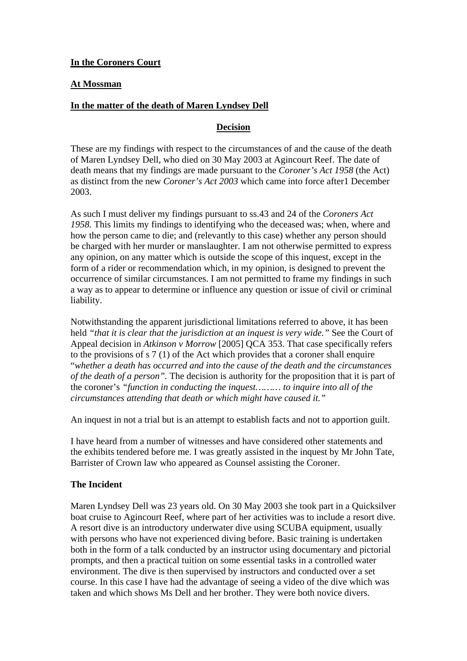**In the Coroners Court**

## **At Mossman**

## **In the matter of the death of Maren Lyndsey Dell**

## **Decision**

These are my findings with respect to the circumstances of and the cause of the death of Maren Lyndsey Dell, who died on 30 May 2003 at Agincourt Reef. The date of death means that my findings are made pursuant to the *Coroner's Act 1958* (the Act) as distinct from the new *Coroner's Act 2003* which came into force after1 December 2003.

As such I must deliver my findings pursuant to ss.43 and 24 of the *Coroners Act 1958.* This limits my findings to identifying who the deceased was; when, where and how the person came to die; and (relevantly to this case) whether any person should be charged with her murder or manslaughter. I am not otherwise permitted to express any opinion, on any matter which is outside the scope of this inquest, except in the form of a rider or recommendation which, in my opinion, is designed to prevent the occurrence of similar circumstances. I am not permitted to frame my findings in such a way as to appear to determine or influence any question or issue of civil or criminal liability.

Notwithstanding the apparent jurisdictional limitations referred to above, it has been held *"that it is clear that the jurisdiction at an inquest is very wide."* See the Court of Appeal decision in *Atkinson v Morrow* [2005] QCA 353. That case specifically refers to the provisions of s 7 (1) of the Act which provides that a coroner shall enquire "*whether a death has occurred and into the cause of the death and the circumstances of the death of a person".* The decision is authority for the proposition that it is part of the coroner's *"function in conducting the inquest……… to inquire into all of the circumstances attending that death or which might have caused it."* 

An inquest in not a trial but is an attempt to establish facts and not to apportion guilt.

I have heard from a number of witnesses and have considered other statements and the exhibits tendered before me. I was greatly assisted in the inquest by Mr John Tate, Barrister of Crown law who appeared as Counsel assisting the Coroner.

# **The Incident**

Maren Lyndsey Dell was 23 years old. On 30 May 2003 she took part in a Quicksilver boat cruise to Agincourt Reef, where part of her activities was to include a resort dive. A resort dive is an introductory underwater dive using SCUBA equipment, usually with persons who have not experienced diving before. Basic training is undertaken both in the form of a talk conducted by an instructor using documentary and pictorial prompts, and then a practical tuition on some essential tasks in a controlled water environment. The dive is then supervised by instructors and conducted over a set course. In this case I have had the advantage of seeing a video of the dive which was taken and which shows Ms Dell and her brother. They were both novice divers.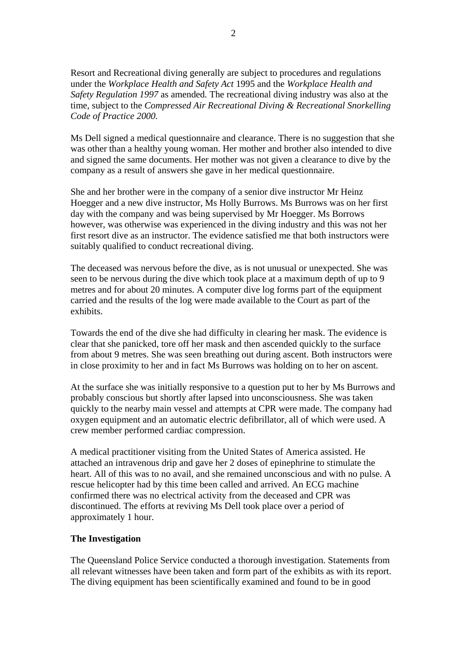Resort and Recreational diving generally are subject to procedures and regulations under the *Workplace Health and Safety Act* 1995 and the *Workplace Health and Safety Regulation 1997* as amended*.* The recreational diving industry was also at the time, subject to the *Compressed Air Recreational Diving & Recreational Snorkelling Code of Practice 2000.* 

Ms Dell signed a medical questionnaire and clearance. There is no suggestion that she was other than a healthy young woman. Her mother and brother also intended to dive and signed the same documents. Her mother was not given a clearance to dive by the company as a result of answers she gave in her medical questionnaire.

She and her brother were in the company of a senior dive instructor Mr Heinz Hoegger and a new dive instructor, Ms Holly Burrows. Ms Burrows was on her first day with the company and was being supervised by Mr Hoegger. Ms Borrows however, was otherwise was experienced in the diving industry and this was not her first resort dive as an instructor. The evidence satisfied me that both instructors were suitably qualified to conduct recreational diving.

The deceased was nervous before the dive, as is not unusual or unexpected. She was seen to be nervous during the dive which took place at a maximum depth of up to 9 metres and for about 20 minutes. A computer dive log forms part of the equipment carried and the results of the log were made available to the Court as part of the exhibits.

Towards the end of the dive she had difficulty in clearing her mask. The evidence is clear that she panicked, tore off her mask and then ascended quickly to the surface from about 9 metres. She was seen breathing out during ascent. Both instructors were in close proximity to her and in fact Ms Burrows was holding on to her on ascent.

At the surface she was initially responsive to a question put to her by Ms Burrows and probably conscious but shortly after lapsed into unconsciousness. She was taken quickly to the nearby main vessel and attempts at CPR were made. The company had oxygen equipment and an automatic electric defibrillator, all of which were used. A crew member performed cardiac compression.

A medical practitioner visiting from the United States of America assisted. He attached an intravenous drip and gave her 2 doses of epinephrine to stimulate the heart. All of this was to no avail, and she remained unconscious and with no pulse. A rescue helicopter had by this time been called and arrived. An ECG machine confirmed there was no electrical activity from the deceased and CPR was discontinued. The efforts at reviving Ms Dell took place over a period of approximately 1 hour.

#### **The Investigation**

The Queensland Police Service conducted a thorough investigation. Statements from all relevant witnesses have been taken and form part of the exhibits as with its report. The diving equipment has been scientifically examined and found to be in good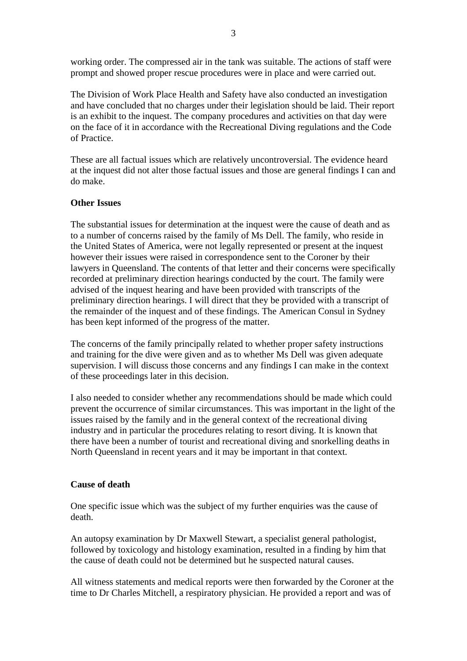working order. The compressed air in the tank was suitable. The actions of staff were prompt and showed proper rescue procedures were in place and were carried out.

The Division of Work Place Health and Safety have also conducted an investigation and have concluded that no charges under their legislation should be laid. Their report is an exhibit to the inquest. The company procedures and activities on that day were on the face of it in accordance with the Recreational Diving regulations and the Code of Practice.

These are all factual issues which are relatively uncontroversial. The evidence heard at the inquest did not alter those factual issues and those are general findings I can and do make.

## **Other Issues**

The substantial issues for determination at the inquest were the cause of death and as to a number of concerns raised by the family of Ms Dell. The family, who reside in the United States of America, were not legally represented or present at the inquest however their issues were raised in correspondence sent to the Coroner by their lawyers in Queensland. The contents of that letter and their concerns were specifically recorded at preliminary direction hearings conducted by the court. The family were advised of the inquest hearing and have been provided with transcripts of the preliminary direction hearings. I will direct that they be provided with a transcript of the remainder of the inquest and of these findings. The American Consul in Sydney has been kept informed of the progress of the matter.

The concerns of the family principally related to whether proper safety instructions and training for the dive were given and as to whether Ms Dell was given adequate supervision. I will discuss those concerns and any findings I can make in the context of these proceedings later in this decision.

I also needed to consider whether any recommendations should be made which could prevent the occurrence of similar circumstances. This was important in the light of the issues raised by the family and in the general context of the recreational diving industry and in particular the procedures relating to resort diving. It is known that there have been a number of tourist and recreational diving and snorkelling deaths in North Queensland in recent years and it may be important in that context.

## **Cause of death**

One specific issue which was the subject of my further enquiries was the cause of death.

An autopsy examination by Dr Maxwell Stewart, a specialist general pathologist, followed by toxicology and histology examination, resulted in a finding by him that the cause of death could not be determined but he suspected natural causes.

All witness statements and medical reports were then forwarded by the Coroner at the time to Dr Charles Mitchell, a respiratory physician. He provided a report and was of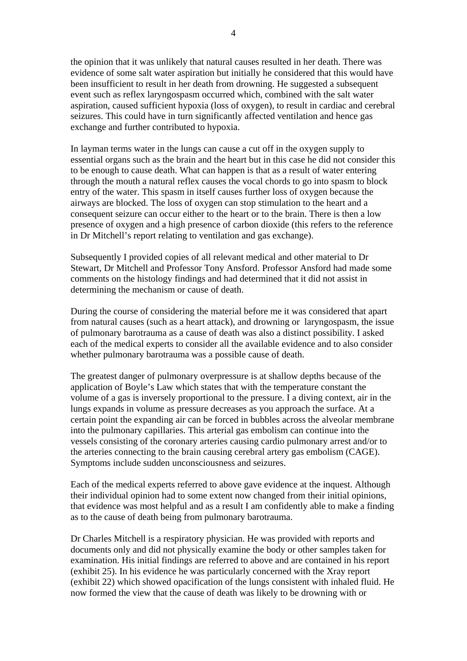the opinion that it was unlikely that natural causes resulted in her death. There was evidence of some salt water aspiration but initially he considered that this would have been insufficient to result in her death from drowning. He suggested a subsequent event such as reflex laryngospasm occurred which, combined with the salt water aspiration, caused sufficient hypoxia (loss of oxygen), to result in cardiac and cerebral seizures. This could have in turn significantly affected ventilation and hence gas exchange and further contributed to hypoxia.

In layman terms water in the lungs can cause a cut off in the oxygen supply to essential organs such as the brain and the heart but in this case he did not consider this to be enough to cause death. What can happen is that as a result of water entering through the mouth a natural reflex causes the vocal chords to go into spasm to block entry of the water. This spasm in itself causes further loss of oxygen because the airways are blocked. The loss of oxygen can stop stimulation to the heart and a consequent seizure can occur either to the heart or to the brain. There is then a low presence of oxygen and a high presence of carbon dioxide (this refers to the reference in Dr Mitchell's report relating to ventilation and gas exchange).

Subsequently I provided copies of all relevant medical and other material to Dr Stewart, Dr Mitchell and Professor Tony Ansford. Professor Ansford had made some comments on the histology findings and had determined that it did not assist in determining the mechanism or cause of death.

During the course of considering the material before me it was considered that apart from natural causes (such as a heart attack), and drowning or laryngospasm, the issue of pulmonary barotrauma as a cause of death was also a distinct possibility. I asked each of the medical experts to consider all the available evidence and to also consider whether pulmonary barotrauma was a possible cause of death.

The greatest danger of pulmonary overpressure is at shallow depths because of the application of Boyle's Law which states that with the temperature constant the volume of a gas is inversely proportional to the pressure. I a diving context, air in the lungs expands in volume as pressure decreases as you approach the surface. At a certain point the expanding air can be forced in bubbles across the alveolar membrane into the pulmonary capillaries. This arterial gas embolism can continue into the vessels consisting of the coronary arteries causing cardio pulmonary arrest and/or to the arteries connecting to the brain causing cerebral artery gas embolism (CAGE). Symptoms include sudden unconsciousness and seizures.

Each of the medical experts referred to above gave evidence at the inquest. Although their individual opinion had to some extent now changed from their initial opinions, that evidence was most helpful and as a result I am confidently able to make a finding as to the cause of death being from pulmonary barotrauma.

Dr Charles Mitchell is a respiratory physician. He was provided with reports and documents only and did not physically examine the body or other samples taken for examination. His initial findings are referred to above and are contained in his report (exhibit 25). In his evidence he was particularly concerned with the Xray report (exhibit 22) which showed opacification of the lungs consistent with inhaled fluid. He now formed the view that the cause of death was likely to be drowning with or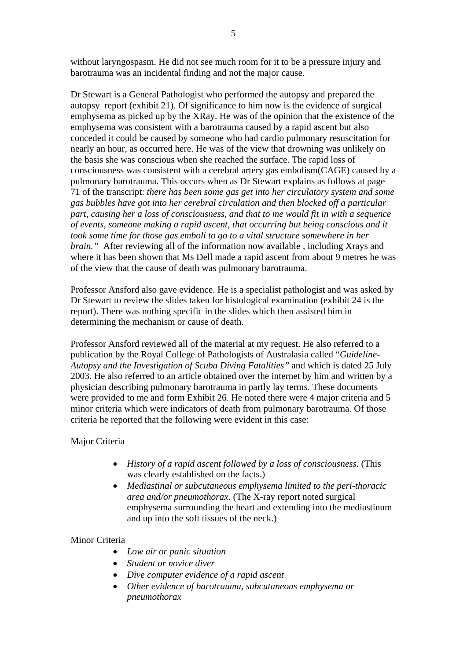without laryngospasm. He did not see much room for it to be a pressure injury and barotrauma was an incidental finding and not the major cause.

Dr Stewart is a General Pathologist who performed the autopsy and prepared the autopsy report (exhibit 21). Of significance to him now is the evidence of surgical emphysema as picked up by the XRay. He was of the opinion that the existence of the emphysema was consistent with a barotrauma caused by a rapid ascent but also conceded it could be caused by someone who had cardio pulmonary resuscitation for nearly an hour, as occurred here. He was of the view that drowning was unlikely on the basis she was conscious when she reached the surface. The rapid loss of consciousness was consistent with a cerebral artery gas embolism(CAGE) caused by a pulmonary barotrauma. This occurs when as Dr Stewart explains as follows at page 71 of the transcript: *there has been some gas get into her circulatory system and some gas bubbles have got into her cerebral circulation and then blocked off a particular part, causing her a loss of consciousness, and that to me would fit in with a sequence of events, someone making a rapid ascent, that occurring but being conscious and it took some time for those gas emboli to go to a vital structure somewhere in her brain.*" After reviewing all of the information now available, including Xrays and where it has been shown that Ms Dell made a rapid ascent from about 9 metres he was of the view that the cause of death was pulmonary barotrauma.

Professor Ansford also gave evidence. He is a specialist pathologist and was asked by Dr Stewart to review the slides taken for histological examination (exhibit 24 is the report). There was nothing specific in the slides which then assisted him in determining the mechanism or cause of death.

Professor Ansford reviewed all of the material at my request. He also referred to a publication by the Royal College of Pathologists of Australasia called "*Guideline-Autopsy and the Investigation of Scuba Diving Fatalities"* and which is dated 25 July 2003. He also referred to an article obtained over the internet by him and written by a physician describing pulmonary barotrauma in partly lay terms. These documents were provided to me and form Exhibit 26. He noted there were 4 major criteria and 5 minor criteria which were indicators of death from pulmonary barotrauma. Of those criteria he reported that the following were evident in this case:

## Major Criteria

- *History of a rapid ascent followed by a loss of consciousness.* (This was clearly established on the facts.)
- *Mediastinal or subcutaneous emphysema limited to the peri-thoracic area and/or pneumothorax.* (The X-ray report noted surgical emphysema surrounding the heart and extending into the mediastinum and up into the soft tissues of the neck.)

#### Minor Criteria

- *Low air or panic situation*
- *Student or novice diver*
- *Dive computer evidence of a rapid ascent*
- *Other evidence of barotrauma, subcutaneous emphysema or pneumothorax*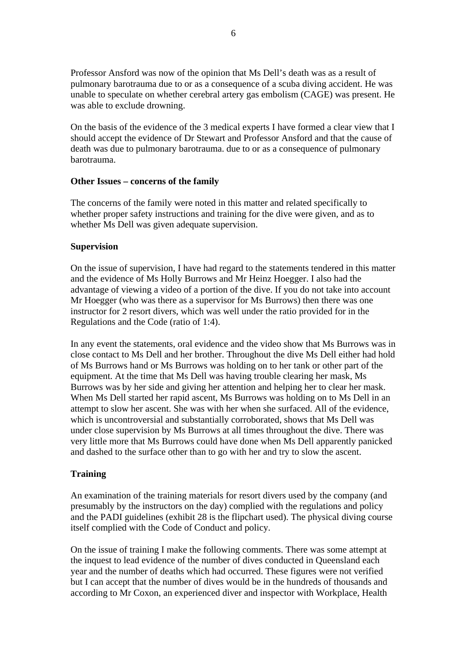Professor Ansford was now of the opinion that Ms Dell's death was as a result of pulmonary barotrauma due to or as a consequence of a scuba diving accident. He was unable to speculate on whether cerebral artery gas embolism (CAGE) was present. He was able to exclude drowning.

On the basis of the evidence of the 3 medical experts I have formed a clear view that I should accept the evidence of Dr Stewart and Professor Ansford and that the cause of death was due to pulmonary barotrauma. due to or as a consequence of pulmonary barotrauma.

## **Other Issues – concerns of the family**

The concerns of the family were noted in this matter and related specifically to whether proper safety instructions and training for the dive were given, and as to whether Ms Dell was given adequate supervision.

## **Supervision**

On the issue of supervision, I have had regard to the statements tendered in this matter and the evidence of Ms Holly Burrows and Mr Heinz Hoegger. I also had the advantage of viewing a video of a portion of the dive. If you do not take into account Mr Hoegger (who was there as a supervisor for Ms Burrows) then there was one instructor for 2 resort divers, which was well under the ratio provided for in the Regulations and the Code (ratio of 1:4).

In any event the statements, oral evidence and the video show that Ms Burrows was in close contact to Ms Dell and her brother. Throughout the dive Ms Dell either had hold of Ms Burrows hand or Ms Burrows was holding on to her tank or other part of the equipment. At the time that Ms Dell was having trouble clearing her mask, Ms Burrows was by her side and giving her attention and helping her to clear her mask. When Ms Dell started her rapid ascent, Ms Burrows was holding on to Ms Dell in an attempt to slow her ascent. She was with her when she surfaced. All of the evidence, which is uncontroversial and substantially corroborated, shows that Ms Dell was under close supervision by Ms Burrows at all times throughout the dive. There was very little more that Ms Burrows could have done when Ms Dell apparently panicked and dashed to the surface other than to go with her and try to slow the ascent.

# **Training**

An examination of the training materials for resort divers used by the company (and presumably by the instructors on the day) complied with the regulations and policy and the PADI guidelines (exhibit 28 is the flipchart used). The physical diving course itself complied with the Code of Conduct and policy.

On the issue of training I make the following comments. There was some attempt at the inquest to lead evidence of the number of dives conducted in Queensland each year and the number of deaths which had occurred. These figures were not verified but I can accept that the number of dives would be in the hundreds of thousands and according to Mr Coxon, an experienced diver and inspector with Workplace, Health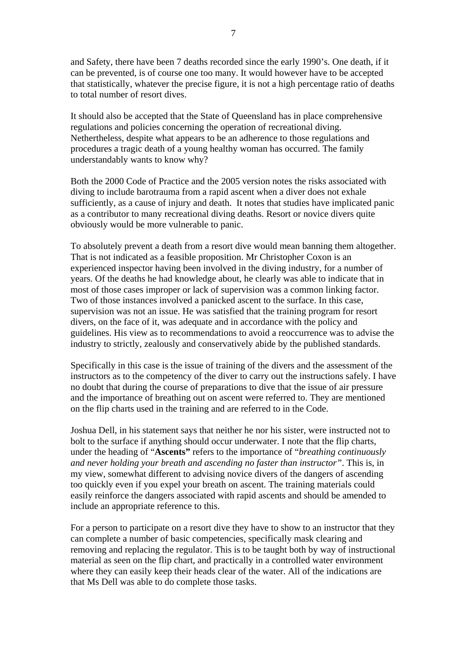and Safety, there have been 7 deaths recorded since the early 1990's. One death, if it can be prevented, is of course one too many. It would however have to be accepted that statistically, whatever the precise figure, it is not a high percentage ratio of deaths to total number of resort dives.

It should also be accepted that the State of Queensland has in place comprehensive regulations and policies concerning the operation of recreational diving. Nethertheless, despite what appears to be an adherence to those regulations and procedures a tragic death of a young healthy woman has occurred. The family understandably wants to know why?

Both the 2000 Code of Practice and the 2005 version notes the risks associated with diving to include barotrauma from a rapid ascent when a diver does not exhale sufficiently, as a cause of injury and death. It notes that studies have implicated panic as a contributor to many recreational diving deaths. Resort or novice divers quite obviously would be more vulnerable to panic.

To absolutely prevent a death from a resort dive would mean banning them altogether. That is not indicated as a feasible proposition. Mr Christopher Coxon is an experienced inspector having been involved in the diving industry, for a number of years. Of the deaths he had knowledge about, he clearly was able to indicate that in most of those cases improper or lack of supervision was a common linking factor. Two of those instances involved a panicked ascent to the surface. In this case, supervision was not an issue. He was satisfied that the training program for resort divers, on the face of it, was adequate and in accordance with the policy and guidelines. His view as to recommendations to avoid a reoccurrence was to advise the industry to strictly, zealously and conservatively abide by the published standards.

Specifically in this case is the issue of training of the divers and the assessment of the instructors as to the competency of the diver to carry out the instructions safely. I have no doubt that during the course of preparations to dive that the issue of air pressure and the importance of breathing out on ascent were referred to. They are mentioned on the flip charts used in the training and are referred to in the Code.

Joshua Dell, in his statement says that neither he nor his sister, were instructed not to bolt to the surface if anything should occur underwater. I note that the flip charts, under the heading of "**Ascents"** refers to the importance of "*breathing continuously and never holding your breath and ascending no faster than instructor"*. This is, in my view, somewhat different to advising novice divers of the dangers of ascending too quickly even if you expel your breath on ascent. The training materials could easily reinforce the dangers associated with rapid ascents and should be amended to include an appropriate reference to this.

For a person to participate on a resort dive they have to show to an instructor that they can complete a number of basic competencies, specifically mask clearing and removing and replacing the regulator. This is to be taught both by way of instructional material as seen on the flip chart, and practically in a controlled water environment where they can easily keep their heads clear of the water. All of the indications are that Ms Dell was able to do complete those tasks.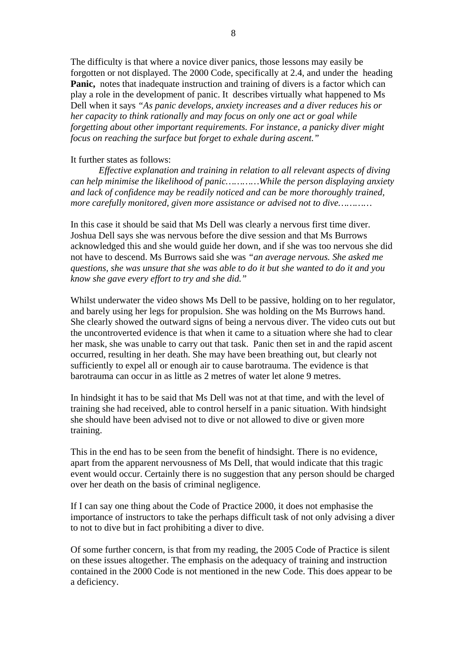The difficulty is that where a novice diver panics, those lessons may easily be forgotten or not displayed. The 2000 Code, specifically at 2.4, and under the heading Panic, notes that inadequate instruction and training of divers is a factor which can play a role in the development of panic. It describes virtually what happened to Ms Dell when it says *"As panic develops, anxiety increases and a diver reduces his or her capacity to think rationally and may focus on only one act or goal while forgetting about other important requirements. For instance, a panicky diver might focus on reaching the surface but forget to exhale during ascent."*

#### It further states as follows:

*Effective explanation and training in relation to all relevant aspects of diving can help minimise the likelihood of panic…………While the person displaying anxiety and lack of confidence may be readily noticed and can be more thoroughly trained, more carefully monitored, given more assistance or advised not to dive…………* 

In this case it should be said that Ms Dell was clearly a nervous first time diver. Joshua Dell says she was nervous before the dive session and that Ms Burrows acknowledged this and she would guide her down, and if she was too nervous she did not have to descend. Ms Burrows said she was *"an average nervous. She asked me questions, she was unsure that she was able to do it but she wanted to do it and you know she gave every effort to try and she did."* 

Whilst underwater the video shows Ms Dell to be passive, holding on to her regulator, and barely using her legs for propulsion. She was holding on the Ms Burrows hand. She clearly showed the outward signs of being a nervous diver. The video cuts out but the uncontroverted evidence is that when it came to a situation where she had to clear her mask, she was unable to carry out that task. Panic then set in and the rapid ascent occurred, resulting in her death. She may have been breathing out, but clearly not sufficiently to expel all or enough air to cause barotrauma. The evidence is that barotrauma can occur in as little as 2 metres of water let alone 9 metres.

In hindsight it has to be said that Ms Dell was not at that time, and with the level of training she had received, able to control herself in a panic situation. With hindsight she should have been advised not to dive or not allowed to dive or given more training.

This in the end has to be seen from the benefit of hindsight. There is no evidence, apart from the apparent nervousness of Ms Dell, that would indicate that this tragic event would occur. Certainly there is no suggestion that any person should be charged over her death on the basis of criminal negligence.

If I can say one thing about the Code of Practice 2000, it does not emphasise the importance of instructors to take the perhaps difficult task of not only advising a diver to not to dive but in fact prohibiting a diver to dive.

Of some further concern, is that from my reading, the 2005 Code of Practice is silent on these issues altogether. The emphasis on the adequacy of training and instruction contained in the 2000 Code is not mentioned in the new Code. This does appear to be a deficiency.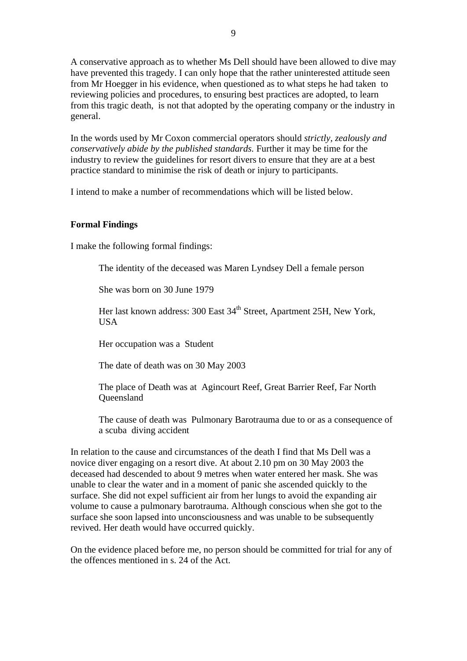A conservative approach as to whether Ms Dell should have been allowed to dive may have prevented this tragedy. I can only hope that the rather uninterested attitude seen from Mr Hoegger in his evidence, when questioned as to what steps he had taken to reviewing policies and procedures, to ensuring best practices are adopted, to learn from this tragic death, is not that adopted by the operating company or the industry in general.

In the words used by Mr Coxon commercial operators should *strictly, zealously and conservatively abide by the published standards.* Further it may be time for the industry to review the guidelines for resort divers to ensure that they are at a best practice standard to minimise the risk of death or injury to participants.

I intend to make a number of recommendations which will be listed below.

# **Formal Findings**

I make the following formal findings:

The identity of the deceased was Maren Lyndsey Dell a female person

She was born on 30 June 1979

Her last known address: 300 East 34<sup>th</sup> Street, Apartment 25H, New York, **USA** 

Her occupation was a Student

The date of death was on 30 May 2003

The place of Death was at Agincourt Reef, Great Barrier Reef, Far North **Oueensland** 

The cause of death was Pulmonary Barotrauma due to or as a consequence of a scuba diving accident

In relation to the cause and circumstances of the death I find that Ms Dell was a novice diver engaging on a resort dive. At about 2.10 pm on 30 May 2003 the deceased had descended to about 9 metres when water entered her mask. She was unable to clear the water and in a moment of panic she ascended quickly to the surface. She did not expel sufficient air from her lungs to avoid the expanding air volume to cause a pulmonary barotrauma. Although conscious when she got to the surface she soon lapsed into unconsciousness and was unable to be subsequently revived. Her death would have occurred quickly.

On the evidence placed before me, no person should be committed for trial for any of the offences mentioned in s. 24 of the Act.